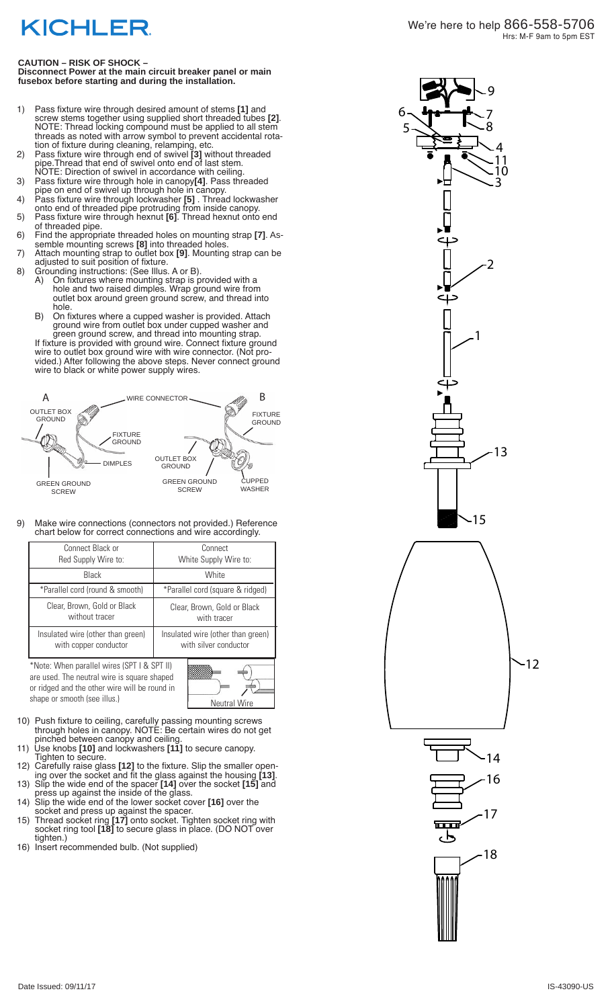## **KICHLER**

**Disconnect Power at the main circuit breaker panel or main fusebox before starting and during the installation.** 

- 1) Pass fixture wire through desired amount of stems **[1]** and screw stems together using supplied short threaded tubes **[2]** . NOTE: Thread locking compound must be applied to all stem threads as noted with arrow symbol to prevent accidental rota tion of fixture during cleaning, relamping, etc.
- 2) Pass fixture wire through end of swivel **[3]** without threaded pipe.Thread that end of swivel onto end of last stem. NOTE: Direction of swivel in accordance with ceiling.
- 3) Pass fixture wire through hole in canopy**[4]**. Pass threaded pipe on end of swivel up through hole in canopy.
- 4) Pass fixture wire through lockwasher **[5]** . Thread lockwasher onto end of threaded pipe protruding from inside canopy.
- 5) Pass fixture wire through hexnut **[6]**. Thread hexnut onto end of threaded pipe.
- 6) Find the appropriate threaded holes on mounting strap **[7]**. As semble mounting screws **[8]** into threaded holes.
- 7) Attach mounting strap to outlet box **[9]**. Mounting strap can be adjusted to suit position of fixture.
- 8) Grounding instructions: (See Illus. A or B).<br>A) On fixtures where mounting strap is p A) On fixtures where mounting strap is provided with a hole and two raised dimples. Wrap ground wire from outlet box around green ground screw, and thread into hole.
	- B) On fixtures where a cupped washer is provided. Attach ground wire from outlet box under cupped washer and green ground screw, and thread into mounting strap.
	- If fixture is provided with ground wire. Connect fixture ground wire to outlet box ground wire with wire connector. (Not pro vided.) After following the above steps. Never connect ground wire to black or white power supply wires.



9) Make wire connections (connectors not provided.) Reference chart below for correct connections and wire accordingly.

| Connect Black or<br>Red Supply Wire to:                                                    | Connect<br>White Supply Wire to:                           |
|--------------------------------------------------------------------------------------------|------------------------------------------------------------|
| Black                                                                                      | White                                                      |
| *Parallel cord (round & smooth)                                                            | *Parallel cord (square & ridged)                           |
| Clear, Brown, Gold or Black<br>without tracer                                              | Clear, Brown, Gold or Black<br>with tracer                 |
| Insulated wire (other than green)<br>with copper conductor                                 | Insulated wire (other than green)<br>with silver conductor |
| *Note: When parallel wires (SPT I & SPT II)<br>are used. The noutral wire is square shaped |                                                            |

are used. The neutral wire is square shaped or ridged and the other wire will be round in shape or smooth (see illus.)

| <b>Neutral Wire</b> |  |
|---------------------|--|

- 10) Push fixture to ceiling, carefully passing mounting screws through holes in canopy. NOTE: Be certain wires do not get pinched between canopy and ceiling.
- 11) Use knobs **[10]** and lockwashers **[11]** to secure canopy. Tighten to secure.
- 12) Carefully raise glass **[12]** to the fixture. Slip the smaller open ing over the socket and fit the glass against the housing **[13]**.
- 13) Slip the wide end of the spacer **[14]** over the socket **[15]** and press up against the inside of the glass.
- 14) Slip the wide end of the lower socket cover **[16]** over the socket and press up against the spacer.
- 15) Thread socket ring **[17]** onto socket. Tighten socket ring with socket ring tool **[18]** to secure glass in place. (DO NOT over tighten.)
- 16) Insert recommended bulb. (Not supplied)